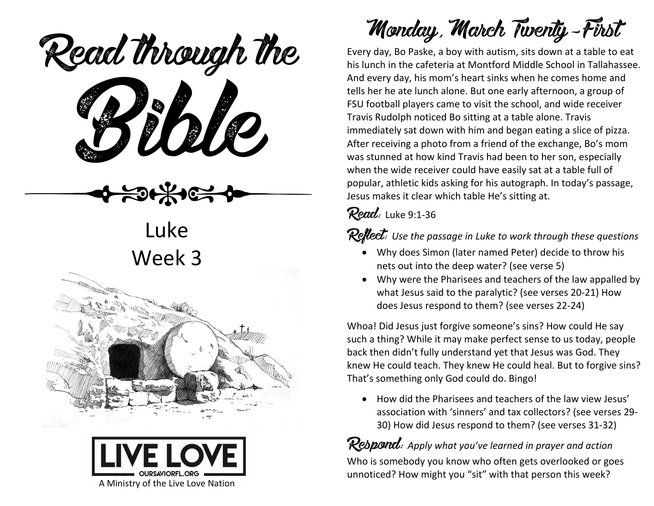ead mough is Read through the

Luke Week 3





Monday, March Twenty-First

Every day, Bo Paske, a boy with autism, sits down at a table to eat his lunch in the cafeteria at Montford Middle School in Tallahassee. And every day, his mom's heart sinks when he comes home and tells her he ate lunch alone. But one early afternoon, a group of FSU football players came to visit the school, and wide receiver Travis Rudolph noticed Bo sitting at a table alone. Travis immediately sat down with him and began eating a slice of pizza. After receiving a photo from a friend of the exchange, Bo's mom was stunned at how kind Travis had been to her son, especially when the wide receiver could have easily sat at a table full of popular, athletic kids asking for his autograph. In today's passage, Jesus makes it clear which table He's sitting at.

Read: Luke 9:1-36

**Reflect:** Use the passage in Luke to work through these questions

- Why does Simon (later named Peter) decide to throw his nets out into the deep water? (see verse 5)
- Why were the Pharisees and teachers of the law appalled by what Jesus said to the paralytic? (see verses 20-21) How does Jesus respond to them? (see verses 22-24)

Whoa! Did Jesus just forgive someone's sins? How could He say such a thing? While it may make perfect sense to us today, people back then didn't fully understand yet that Jesus was God. They knew He could teach. They knew He could heal. But to forgive sins? That's something only God could do. Bingo!

• How did the Pharisees and teachers of the law view Jesus' association with 'sinners' and tax collectors? (see verses 29- 30) How did Jesus respond to them? (see verses 31-32)

**Respond:** Apply what you've learned in prayer and action Who is somebody you know who often gets overlooked or goes unnoticed? How might you "sit" with that person this week?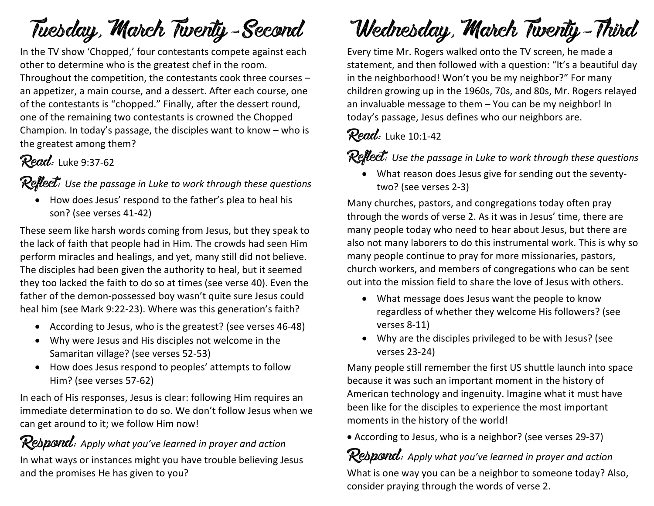## Tuesday, March Twenty-Second

In the TV show 'Chopped,' four contestants compete against each other to determine who is the greatest chef in the room. Throughout the competition, the contestants cook three courses – an appetizer, a main course, and a dessert. After each course, one of the contestants is "chopped." Finally, after the dessert round, one of the remaining two contestants is crowned the Chopped Champion. In today's passage, the disciples want to know – who is the greatest among them?

#### Read: Luke 9:37-62

Reflect: *Use the passage in Luke to work through these questions*

• How does Jesus' respond to the father's plea to heal his son? (see verses 41-42)

These seem like harsh words coming from Jesus, but they speak to the lack of faith that people had in Him. The crowds had seen Him perform miracles and healings, and yet, many still did not believe. The disciples had been given the authority to heal, but it seemed they too lacked the faith to do so at times (see verse 40). Even the father of the demon-possessed boy wasn't quite sure Jesus could heal him (see Mark 9:22-23). Where was this generation's faith?

- According to Jesus, who is the greatest? (see verses 46-48)
- Why were Jesus and His disciples not welcome in the Samaritan village? (see verses 52-53)
- How does Jesus respond to peoples' attempts to follow Him? (see verses 57-62)

In each of His responses, Jesus is clear: following Him requires an immediate determination to do so. We don't follow Jesus when we can get around to it; we follow Him now!

#### Respond: Apply what you've learned in prayer and action

In what ways or instances might you have trouble believing Jesus and the promises He has given to you?

# Wednesday, March Twenty-Third

Every time Mr. Rogers walked onto the TV screen, he made a statement, and then followed with a question: "It's a beautiful day in the neighborhood! Won't you be my neighbor?" For many children growing up in the 1960s, 70s, and 80s, Mr. Rogers relayed an invaluable message to them – You can be my neighbor! In today's passage, Jesus defines who our neighbors are.

#### $Read:$  Luke 10:1-42

**Reflect:** Use the passage in Luke to work through these questions

• What reason does Jesus give for sending out the seventytwo? (see verses 2-3)

Many churches, pastors, and congregations today often pray through the words of verse 2. As it was in Jesus' time, there are many people today who need to hear about Jesus, but there are also not many laborers to do this instrumental work. This is why so many people continue to pray for more missionaries, pastors, church workers, and members of congregations who can be sent out into the mission field to share the love of Jesus with others.

- What message does Jesus want the people to know regardless of whether they welcome His followers? (see verses 8-11)
- Why are the disciples privileged to be with Jesus? (see verses 23-24)

Many people still remember the first US shuttle launch into space because it was such an important moment in the history of American technology and ingenuity. Imagine what it must have been like for the disciples to experience the most important moments in the history of the world!

• According to Jesus, who is a neighbor? (see verses 29-37)

#### Respond: *Apply what you've learned in prayer and action*

What is one way you can be a neighbor to someone today? Also, consider praying through the words of verse 2.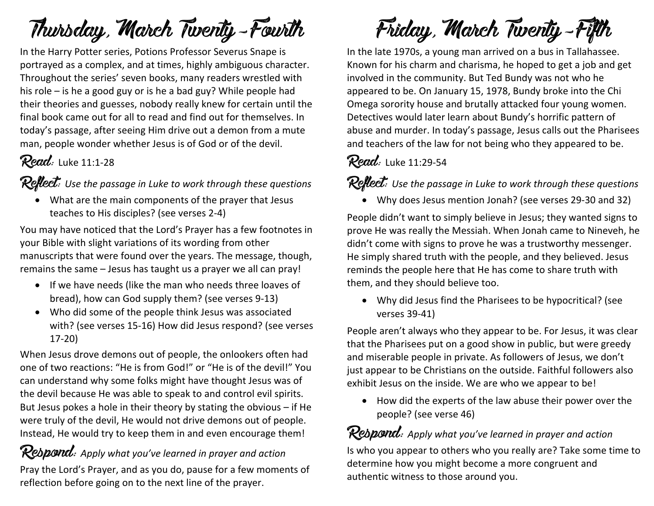## Thursday, March Twenty-Fourth

In the Harry Potter series, Potions Professor Severus Snape is portrayed as a complex, and at times, highly ambiguous character. Throughout the series' seven books, many readers wrestled with his role – is he a good guy or is he a bad guy? While people had their theories and guesses, nobody really knew for certain until the final book came out for all to read and find out for themselves. In today's passage, after seeing Him drive out a demon from a mute man, people wonder whether Jesus is of God or of the devil.

#### Read: Luke 11:1-28

Reflect: Use the passage in Luke to work through these questions

• What are the main components of the prayer that Jesus teaches to His disciples? (see verses 2-4)

You may have noticed that the Lord's Prayer has a few footnotes in your Bible with slight variations of its wording from other manuscripts that were found over the years. The message, though, remains the same – Jesus has taught us a prayer we all can pray!

- If we have needs (like the man who needs three loaves of bread), how can God supply them? (see verses 9-13)
- Who did some of the people think Jesus was associated with? (see verses 15-16) How did Jesus respond? (see verses 17-20)

When Jesus drove demons out of people, the onlookers often had one of two reactions: "He is from God!" or "He is of the devil!" You can understand why some folks might have thought Jesus was of the devil because He was able to speak to and control evil spirits. But Jesus pokes a hole in their theory by stating the obvious – if He were truly of the devil, He would not drive demons out of people. Instead, He would try to keep them in and even encourage them!

Respond: Apply what you've learned in prayer and action Pray the Lord's Prayer, and as you do, pause for a few moments of reflection before going on to the next line of the prayer.

Friday, March Twenty-Fifth

In the late 1970s, a young man arrived on a bus in Tallahassee. Known for his charm and charisma, he hoped to get a job and get involved in the community. But Ted Bundy was not who he appeared to be. On January 15, 1978, Bundy broke into the Chi Omega sorority house and brutally attacked four young women. Detectives would later learn about Bundy's horrific pattern of abuse and murder. In today's passage, Jesus calls out the Pharisees and teachers of the law for not being who they appeared to be.

#### Read: Luke 11:29-54

Reflect: Use the passage in Luke to work through these questions

• Why does Jesus mention Jonah? (see verses 29-30 and 32)

People didn't want to simply believe in Jesus; they wanted signs to prove He was really the Messiah. When Jonah came to Nineveh, he didn't come with signs to prove he was a trustworthy messenger. He simply shared truth with the people, and they believed. Jesus reminds the people here that He has come to share truth with them, and they should believe too.

• Why did Jesus find the Pharisees to be hypocritical? (see verses 39-41)

People aren't always who they appear to be. For Jesus, it was clear that the Pharisees put on a good show in public, but were greedy and miserable people in private. As followers of Jesus, we don't just appear to be Christians on the outside. Faithful followers also exhibit Jesus on the inside. We are who we appear to be!

• How did the experts of the law abuse their power over the people? (see verse 46)

Rebpond: Apply what you've learned in prayer and action Is who you appear to others who you really are? Take some time to determine how you might become a more congruent and authentic witness to those around you.